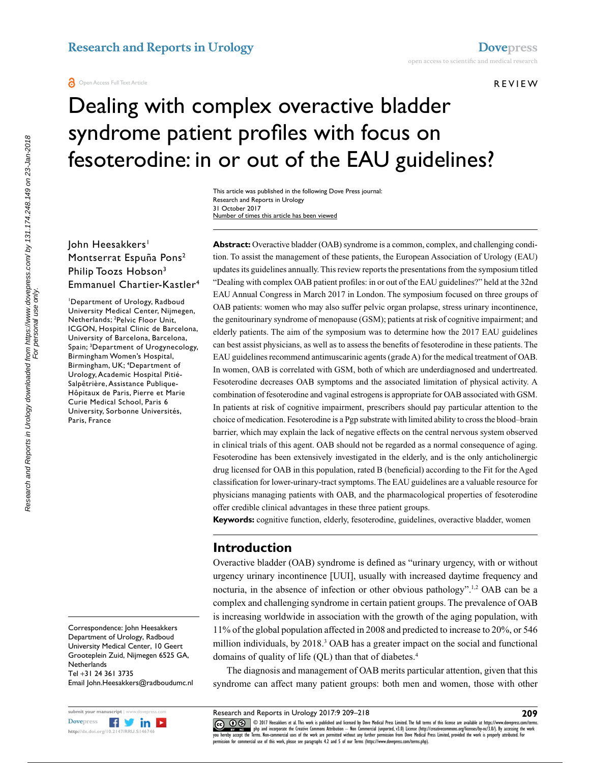#### **a** Open Access Full Text Article

#### REVIEW

# Dealing with complex overactive bladder syndrome patient profiles with focus on fesoterodine: in or out of the EAU guidelines?

This article was published in the following Dove Press journal: Research and Reports in Urology 31 October 2017 Number of times this article has been viewed

### John Heesakkers<sup>1</sup> Montserrat Espuña Pons<sup>2</sup> Philip Toozs Hobson<sup>3</sup> Emmanuel Chartier-Kastler<sup>4</sup>

1 Department of Urology, Radboud University Medical Center, Nijmegen, Netherlands; <sup>2</sup> Pelvic Floor Unit, ICGON, Hospital Clinic de Barcelona, University of Barcelona, Barcelona, Spain; <sup>3</sup> Department of Urogynecology, Birmingham Women's Hospital, Birmingham, UK; <sup>4</sup> Department of Urology, Academic Hospital Pitié-Salpêtrière, Assistance Publique-Hôpitaux de Paris, Pierre et Marie Curie Medical School, Paris 6 University, Sorbonne Universités, Paris, France

 $submit your manuscript$ **Dovepress f in D http://dx.doi.org/10.2147/RRU.S146746**

**Abstract:** Overactive bladder (OAB) syndrome is a common, complex, and challenging condition. To assist the management of these patients, the European Association of Urology (EAU) updates its guidelines annually. This review reports the presentations from the symposium titled "Dealing with complex OAB patient profiles: in or out of the EAU guidelines?" held at the 32nd EAU Annual Congress in March 2017 in London. The symposium focused on three groups of OAB patients: women who may also suffer pelvic organ prolapse, stress urinary incontinence, the genitourinary syndrome of menopause (GSM); patients at risk of cognitive impairment; and elderly patients. The aim of the symposium was to determine how the 2017 EAU guidelines can best assist physicians, as well as to assess the benefits of fesoterodine in these patients. The EAU guidelines recommend antimuscarinic agents (grade A) for the medical treatment of OAB. In women, OAB is correlated with GSM, both of which are underdiagnosed and undertreated. Fesoterodine decreases OAB symptoms and the associated limitation of physical activity. A combination of fesoterodine and vaginal estrogens is appropriate for OAB associated with GSM. In patients at risk of cognitive impairment, prescribers should pay particular attention to the choice of medication. Fesoterodine is a Pgp substrate with limited ability to cross the blood–brain barrier, which may explain the lack of negative effects on the central nervous system observed in clinical trials of this agent. OAB should not be regarded as a normal consequence of aging. Fesoterodine has been extensively investigated in the elderly, and is the only anticholinergic drug licensed for OAB in this population, rated B (beneficial) according to the Fit for the Aged classification for lower-urinary-tract symptoms. The EAU guidelines are a valuable resource for physicians managing patients with OAB, and the pharmacological properties of fesoterodine offer credible clinical advantages in these three patient groups.

**Keywords:** cognitive function, elderly, fesoterodine, guidelines, overactive bladder, women

# **Introduction**

Overactive bladder (OAB) syndrome is defined as "urinary urgency, with or without urgency urinary incontinence [UUI], usually with increased daytime frequency and nocturia, in the absence of infection or other obvious pathology".<sup>1,2</sup> OAB can be a complex and challenging syndrome in certain patient groups. The prevalence of OAB is increasing worldwide in association with the growth of the aging population, with 11% of the global population affected in 2008 and predicted to increase to 20%, or 546 million individuals, by 2018.<sup>3</sup> OAB has a greater impact on the social and functional domains of quality of life (QL) than that of diabetes.<sup>4</sup>

The diagnosis and management of OAB merits particular attention, given that this syndrome can affect many patient groups: both men and women, those with other

Research and Reports in Urology downloaded from https://www.dovepress.com/ by 131.174.248.149 on 23-Jan-2018<br>For personal use only. Research and Reports in Urology downloaded from https://www.dovepress.com/ by 131.174.248.149 on 23-Jan-2018 For personal use only.

Correspondence: John Heesakkers Department of Urology, Radboud University Medical Center, 10 Geert Grooteplein Zuid, Nijmegen 6525 GA, **Netherlands** Tel +31 24 361 3735 Email John.Heesakkers@radboudumc.nl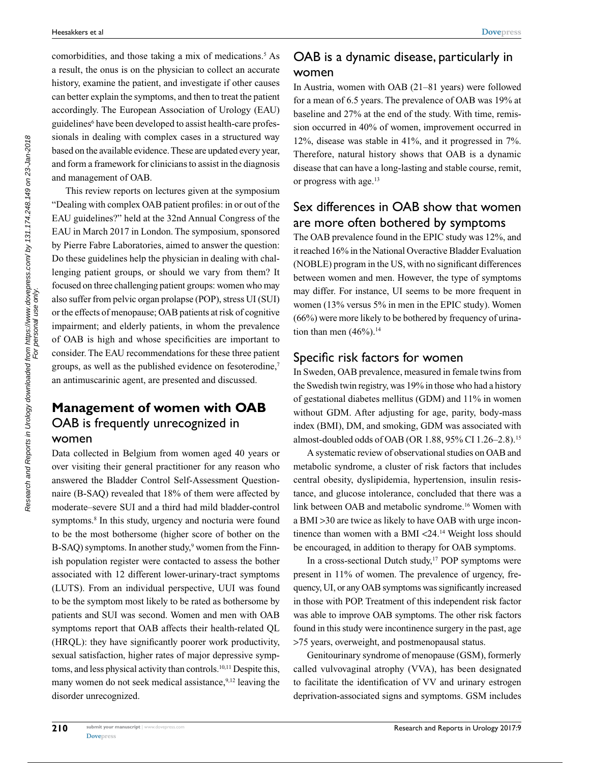comorbidities, and those taking a mix of medications.<sup>5</sup> As a result, the onus is on the physician to collect an accurate history, examine the patient, and investigate if other causes can better explain the symptoms, and then to treat the patient accordingly. The European Association of Urology (EAU) guidelines<sup>6</sup> have been developed to assist health-care professionals in dealing with complex cases in a structured way based on the available evidence. These are updated every year, and form a framework for clinicians to assist in the diagnosis and management of OAB.

This review reports on lectures given at the symposium "Dealing with complex OAB patient profiles: in or out of the EAU guidelines?" held at the 32nd Annual Congress of the EAU in March 2017 in London. The symposium, sponsored by Pierre Fabre Laboratories, aimed to answer the question: Do these guidelines help the physician in dealing with challenging patient groups, or should we vary from them? It focused on three challenging patient groups: women who may also suffer from pelvic organ prolapse (POP), stress UI (SUI) or the effects of menopause; OAB patients at risk of cognitive impairment; and elderly patients, in whom the prevalence of OAB is high and whose specificities are important to consider. The EAU recommendations for these three patient groups, as well as the published evidence on fesoterodine,7 an antimuscarinic agent, are presented and discussed.

# **Management of women with OAB** OAB is frequently unrecognized in women

Data collected in Belgium from women aged 40 years or over visiting their general practitioner for any reason who answered the Bladder Control Self-Assessment Questionnaire (B-SAQ) revealed that 18% of them were affected by moderate–severe SUI and a third had mild bladder-control symptoms.<sup>8</sup> In this study, urgency and nocturia were found to be the most bothersome (higher score of bother on the B-SAQ) symptoms. In another study,<sup>9</sup> women from the Finnish population register were contacted to assess the bother associated with 12 different lower-urinary-tract symptoms (LUTS). From an individual perspective, UUI was found to be the symptom most likely to be rated as bothersome by patients and SUI was second. Women and men with OAB symptoms report that OAB affects their health-related QL (HRQL): they have significantly poorer work productivity, sexual satisfaction, higher rates of major depressive symptoms, and less physical activity than controls.<sup>10,11</sup> Despite this, many women do not seek medical assistance,<sup>9,12</sup> leaving the disorder unrecognized.

# OAB is a dynamic disease, particularly in women

In Austria, women with OAB (21–81 years) were followed for a mean of 6.5 years. The prevalence of OAB was 19% at baseline and 27% at the end of the study. With time, remission occurred in 40% of women, improvement occurred in 12%, disease was stable in 41%, and it progressed in 7%. Therefore, natural history shows that OAB is a dynamic disease that can have a long-lasting and stable course, remit, or progress with age.13

# Sex differences in OAB show that women are more often bothered by symptoms

The OAB prevalence found in the EPIC study was 12%, and it reached 16% in the National Overactive Bladder Evaluation (NOBLE) program in the US, with no significant differences between women and men. However, the type of symptoms may differ. For instance, UI seems to be more frequent in women (13% versus 5% in men in the EPIC study). Women (66%) were more likely to be bothered by frequency of urination than men  $(46\%)$ .<sup>14</sup>

# Specific risk factors for women

In Sweden, OAB prevalence, measured in female twins from the Swedish twin registry, was 19% in those who had a history of gestational diabetes mellitus (GDM) and 11% in women without GDM. After adjusting for age, parity, body-mass index (BMI), DM, and smoking, GDM was associated with almost-doubled odds of OAB (OR 1.88, 95% CI 1.26–2.8).15

A systematic review of observational studies on OAB and metabolic syndrome, a cluster of risk factors that includes central obesity, dyslipidemia, hypertension, insulin resistance, and glucose intolerance, concluded that there was a link between OAB and metabolic syndrome.16 Women with a BMI >30 are twice as likely to have OAB with urge incontinence than women with a BMI <24.<sup>14</sup> Weight loss should be encouraged, in addition to therapy for OAB symptoms.

In a cross-sectional Dutch study,<sup>17</sup> POP symptoms were present in 11% of women. The prevalence of urgency, frequency, UI, or any OAB symptoms was significantly increased in those with POP. Treatment of this independent risk factor was able to improve OAB symptoms. The other risk factors found in this study were incontinence surgery in the past, age >75 years, overweight, and postmenopausal status.

Genitourinary syndrome of menopause (GSM), formerly called vulvovaginal atrophy (VVA), has been designated to facilitate the identification of VV and urinary estrogen deprivation-associated signs and symptoms. GSM includes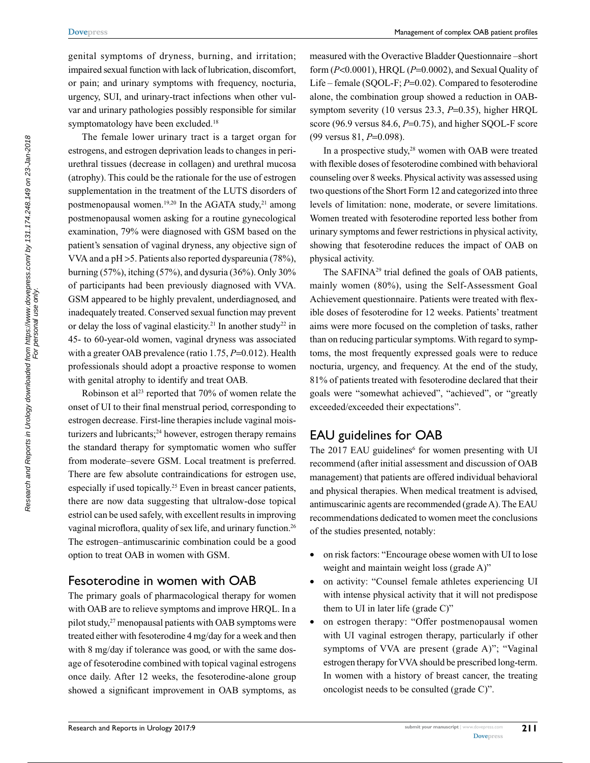genital symptoms of dryness, burning, and irritation; impaired sexual function with lack of lubrication, discomfort, or pain; and urinary symptoms with frequency, nocturia, urgency, SUI, and urinary-tract infections when other vulvar and urinary pathologies possibly responsible for similar symptomatology have been excluded.<sup>18</sup>

The female lower urinary tract is a target organ for estrogens, and estrogen deprivation leads to changes in periurethral tissues (decrease in collagen) and urethral mucosa (atrophy). This could be the rationale for the use of estrogen supplementation in the treatment of the LUTS disorders of postmenopausal women.<sup>19,20</sup> In the AGATA study,<sup>21</sup> among postmenopausal women asking for a routine gynecological examination, 79% were diagnosed with GSM based on the patient's sensation of vaginal dryness, any objective sign of VVA and a pH >5. Patients also reported dyspareunia (78%), burning (57%), itching (57%), and dysuria (36%). Only 30% of participants had been previously diagnosed with VVA. GSM appeared to be highly prevalent, underdiagnosed, and inadequately treated. Conserved sexual function may prevent or delay the loss of vaginal elasticity.<sup>21</sup> In another study<sup>22</sup> in 45- to 60-year-old women, vaginal dryness was associated with a greater OAB prevalence (ratio 1.75, P=0.012). Health professionals should adopt a proactive response to women with genital atrophy to identify and treat OAB.

Robinson et al<sup>23</sup> reported that  $70\%$  of women relate the onset of UI to their final menstrual period, corresponding to estrogen decrease. First-line therapies include vaginal moisturizers and lubricants;<sup>24</sup> however, estrogen therapy remains the standard therapy for symptomatic women who suffer from moderate–severe GSM. Local treatment is preferred. There are few absolute contraindications for estrogen use, especially if used topically.<sup>25</sup> Even in breast cancer patients, there are now data suggesting that ultralow-dose topical estriol can be used safely, with excellent results in improving vaginal microflora, quality of sex life, and urinary function.26 The estrogen–antimuscarinic combination could be a good option to treat OAB in women with GSM.

#### Fesoterodine in women with OAB

The primary goals of pharmacological therapy for women with OAB are to relieve symptoms and improve HRQL. In a pilot study,27 menopausal patients with OAB symptoms were treated either with fesoterodine 4 mg/day for a week and then with 8 mg/day if tolerance was good, or with the same dosage of fesoterodine combined with topical vaginal estrogens once daily. After 12 weeks, the fesoterodine-alone group showed a significant improvement in OAB symptoms, as

measured with the Overactive Bladder Questionnaire –short form (*P*<0.0001), HRQL (*P*=0.0002), and Sexual Quality of Life – female (SQOL-F; *P*=0.02). Compared to fesoterodine alone, the combination group showed a reduction in OABsymptom severity (10 versus 23.3, *P*=0.35), higher HRQL score (96.9 versus 84.6, *P*=0.75), and higher SQOL-F score (99 versus 81, *P*=0.098).

In a prospective study,<sup>28</sup> women with OAB were treated with flexible doses of fesoterodine combined with behavioral counseling over 8 weeks. Physical activity was assessed using two questions of the Short Form 12 and categorized into three levels of limitation: none, moderate, or severe limitations. Women treated with fesoterodine reported less bother from urinary symptoms and fewer restrictions in physical activity, showing that fesoterodine reduces the impact of OAB on physical activity.

The SAFINA $^{29}$  trial defined the goals of OAB patients, mainly women (80%), using the Self-Assessment Goal Achievement questionnaire. Patients were treated with flexible doses of fesoterodine for 12 weeks. Patients' treatment aims were more focused on the completion of tasks, rather than on reducing particular symptoms. With regard to symptoms, the most frequently expressed goals were to reduce nocturia, urgency, and frequency. At the end of the study, 81% of patients treated with fesoterodine declared that their goals were "somewhat achieved", "achieved", or "greatly exceeded/exceeded their expectations".

## EAU guidelines for OAB

The 2017 EAU guidelines<sup>6</sup> for women presenting with UI recommend (after initial assessment and discussion of OAB management) that patients are offered individual behavioral and physical therapies. When medical treatment is advised, antimuscarinic agents are recommended (grade A). The EAU recommendations dedicated to women meet the conclusions of the studies presented, notably:

- on risk factors: "Encourage obese women with UI to lose weight and maintain weight loss (grade A)"
- on activity: "Counsel female athletes experiencing UI with intense physical activity that it will not predispose them to UI in later life (grade C)"
- on estrogen therapy: "Offer postmenopausal women with UI vaginal estrogen therapy, particularly if other symptoms of VVA are present (grade A)"; "Vaginal estrogen therapy for VVA should be prescribed long-term. In women with a history of breast cancer, the treating oncologist needs to be consulted (grade C)".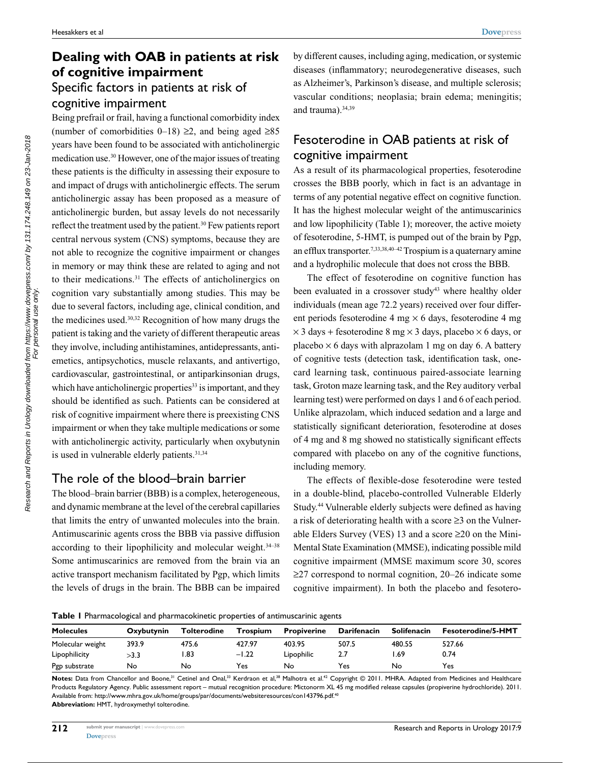# **Dealing with OAB in patients at risk of cognitive impairment** Specific factors in patients at risk of cognitive impairment

Being prefrail or frail, having a functional comorbidity index (number of comorbidities 0–18) ≥2, and being aged ≥85 years have been found to be associated with anticholinergic medication use.30 However, one of the major issues of treating these patients is the difficulty in assessing their exposure to and impact of drugs with anticholinergic effects. The serum anticholinergic assay has been proposed as a measure of anticholinergic burden, but assay levels do not necessarily reflect the treatment used by the patient.30 Few patients report central nervous system (CNS) symptoms, because they are not able to recognize the cognitive impairment or changes in memory or may think these are related to aging and not to their medications.31 The effects of anticholinergics on cognition vary substantially among studies. This may be due to several factors, including age, clinical condition, and the medicines used.30,32 Recognition of how many drugs the patient is taking and the variety of different therapeutic areas they involve, including antihistamines, antidepressants, antiemetics, antipsychotics, muscle relaxants, and antivertigo, cardiovascular, gastrointestinal, or antiparkinsonian drugs, which have anticholinergic properties<sup>33</sup> is important, and they should be identified as such. Patients can be considered at risk of cognitive impairment where there is preexisting CNS impairment or when they take multiple medications or some with anticholinergic activity, particularly when oxybutynin is used in vulnerable elderly patients.<sup>31,34</sup>

### The role of the blood–brain barrier

The blood–brain barrier (BBB) is a complex, heterogeneous, and dynamic membrane at the level of the cerebral capillaries that limits the entry of unwanted molecules into the brain. Antimuscarinic agents cross the BBB via passive diffusion according to their lipophilicity and molecular weight.34–38 Some antimuscarinics are removed from the brain via an active transport mechanism facilitated by Pgp, which limits the levels of drugs in the brain. The BBB can be impaired

# Fesoterodine in OAB patients at risk of cognitive impairment

As a result of its pharmacological properties, fesoterodine crosses the BBB poorly, which in fact is an advantage in terms of any potential negative effect on cognitive function. It has the highest molecular weight of the antimuscarinics and low lipophilicity (Table 1); moreover, the active moiety of fesoterodine, 5-HMT, is pumped out of the brain by Pgp, an efflux transporter.7,33,38,40–42 Trospium is a quaternary amine and a hydrophilic molecule that does not cross the BBB.

The effect of fesoterodine on cognitive function has been evaluated in a crossover study<sup>43</sup> where healthy older individuals (mean age 72.2 years) received over four different periods fesoterodine 4 mg  $\times$  6 days, fesoterodine 4 mg  $\times$  3 days + fesoterodine 8 mg  $\times$  3 days, placebo  $\times$  6 days, or placebo  $\times$  6 days with alprazolam 1 mg on day 6. A battery of cognitive tests (detection task, identification task, onecard learning task, continuous paired-associate learning task, Groton maze learning task, and the Rey auditory verbal learning test) were performed on days 1 and 6 of each period. Unlike alprazolam, which induced sedation and a large and statistically significant deterioration, fesoterodine at doses of 4 mg and 8 mg showed no statistically significant effects compared with placebo on any of the cognitive functions, including memory.

The effects of flexible-dose fesoterodine were tested in a double-blind, placebo-controlled Vulnerable Elderly Study.44 Vulnerable elderly subjects were defined as having a risk of deteriorating health with a score ≥3 on the Vulnerable Elders Survey (VES) 13 and a score ≥20 on the Mini-Mental State Examination (MMSE), indicating possible mild cognitive impairment (MMSE maximum score 30, scores ≥27 correspond to normal cognition, 20–26 indicate some cognitive impairment). In both the placebo and fesotero-

**Table 1** Pharmacological and pharmacokinetic properties of antimuscarinic agents

| <b>Molecules</b> | <b>Oxybutynin</b> | <b>Tolterodine</b> | Trospium | <b>Propiverine</b> | Darifenacin | <b>Solifenacin</b> | Fesoterodine/5-HMT |
|------------------|-------------------|--------------------|----------|--------------------|-------------|--------------------|--------------------|
| Molecular weight | 393.9             | 475.6              | 427.97   | 403.95             | 507.5       | 480.55             | 527.66             |
| Lipophilicity    | >3.3              | .83                | $-1.22$  | Lipophilic         | 2.7         | . 69. ،            | 0.74               |
| Pgp substrate    | No                | No                 | Yes      | No                 | Yes         | No                 | Yes                |

Notes: Data from Chancellor and Boone,<sup>31</sup> Cetinel and Onal,<sup>33</sup> Kerdraon et al,<sup>38</sup> Malhotra et al.<sup>42</sup> Copyright © 2011. MHRA. Adapted from Medicines and Healthcare Products Regulatory Agency. Public assessment report – mutual recognition procedure: Mictonorm XL 45 mg modified release capsules (propiverine hydrochloride). 2011. Available from: [http://www.mhra.gov.uk/home/groups/par/documents/websiteresources/con143796.pdf.](http://www.mhra.gov.uk/home/groups/par/documents/websiteresources/con143796.pdf)<sup>40</sup>

**Abbreviation:** HMT, hydroxymethyl tolterodine.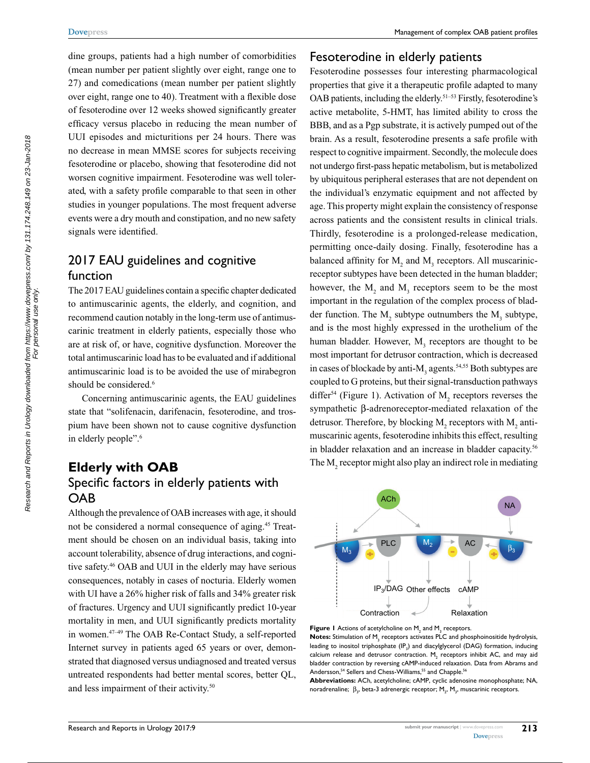dine groups, patients had a high number of comorbidities (mean number per patient slightly over eight, range one to 27) and comedications (mean number per patient slightly over eight, range one to 40). Treatment with a flexible dose of fesoterodine over 12 weeks showed significantly greater efficacy versus placebo in reducing the mean number of UUI episodes and micturitions per 24 hours. There was no decrease in mean MMSE scores for subjects receiving fesoterodine or placebo, showing that fesoterodine did not worsen cognitive impairment. Fesoterodine was well tolerated, with a safety profile comparable to that seen in other studies in younger populations. The most frequent adverse events were a dry mouth and constipation, and no new safety signals were identified.

# 2017 EAU guidelines and cognitive function

The 2017 EAU guidelines contain a specific chapter dedicated to antimuscarinic agents, the elderly, and cognition, and recommend caution notably in the long-term use of antimuscarinic treatment in elderly patients, especially those who are at risk of, or have, cognitive dysfunction. Moreover the total antimuscarinic load has to be evaluated and if additional antimuscarinic load is to be avoided the use of mirabegron should be considered.<sup>6</sup>

Concerning antimuscarinic agents, the EAU guidelines state that "solifenacin, darifenacin, fesoterodine, and trospium have been shown not to cause cognitive dysfunction in elderly people".6

# **Elderly with OAB** Specific factors in elderly patients with OAB

Although the prevalence of OAB increases with age, it should not be considered a normal consequence of aging.45 Treatment should be chosen on an individual basis, taking into account tolerability, absence of drug interactions, and cognitive safety.46 OAB and UUI in the elderly may have serious consequences, notably in cases of nocturia. Elderly women with UI have a 26% higher risk of falls and 34% greater risk of fractures. Urgency and UUI significantly predict 10-year mortality in men, and UUI significantly predicts mortality in women.47–49 The OAB Re-Contact Study, a self-reported Internet survey in patients aged 65 years or over, demonstrated that diagnosed versus undiagnosed and treated versus untreated respondents had better mental scores, better QL, and less impairment of their activity.<sup>50</sup>

#### Fesoterodine in elderly patients

Fesoterodine possesses four interesting pharmacological properties that give it a therapeutic profile adapted to many OAB patients, including the elderly.<sup>51–53</sup> Firstly, fesoterodine's active metabolite, 5-HMT, has limited ability to cross the BBB, and as a Pgp substrate, it is actively pumped out of the brain. As a result, fesoterodine presents a safe profile with respect to cognitive impairment. Secondly, the molecule does not undergo first-pass hepatic metabolism, but is metabolized by ubiquitous peripheral esterases that are not dependent on the individual's enzymatic equipment and not affected by age. This property might explain the consistency of response across patients and the consistent results in clinical trials. Thirdly, fesoterodine is a prolonged-release medication, permitting once-daily dosing. Finally, fesoterodine has a balanced affinity for  $M_2$  and  $M_3$  receptors. All muscarinicreceptor subtypes have been detected in the human bladder; however, the  $M_2$  and  $M_3$  receptors seem to be the most important in the regulation of the complex process of bladder function. The  $M_2$  subtype outnumbers the  $M_3$  subtype, and is the most highly expressed in the urothelium of the human bladder. However,  $M<sub>3</sub>$  receptors are thought to be most important for detrusor contraction, which is decreased in cases of blockade by anti- $M_3$  agents.<sup>54,55</sup> Both subtypes are coupled to G proteins, but their signal-transduction pathways differ<sup>54</sup> (Figure 1). Activation of  $M_2$  receptors reverses the sympathetic β-adrenoreceptor-mediated relaxation of the detrusor. Therefore, by blocking  $M_2$  receptors with  $M_2$  antimuscarinic agents, fesoterodine inhibits this effect, resulting in bladder relaxation and an increase in bladder capacity.<sup>56</sup> The  $M_2$  receptor might also play an indirect role in mediating





**Abbreviations:** ACh, acetylcholine; cAMP, cyclic adenosine monophosphate; NA, noradrenaline;  $\ \beta_{\mathfrak{z}},$  beta-3 adrenergic receptor;  $\mathsf{M}_{\mathfrak{z}},$   $\mathsf{M}_{\mathfrak{z}},$  muscarinic receptors.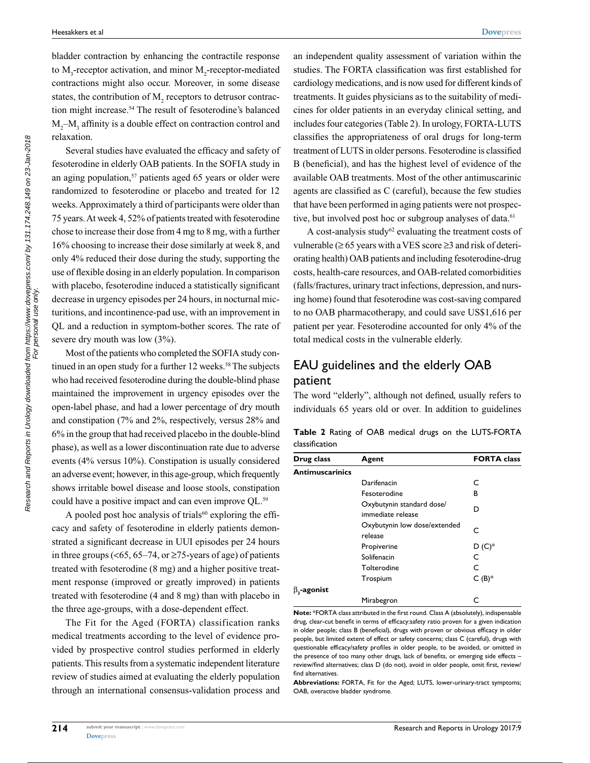bladder contraction by enhancing the contractile response to  $M_3$ -receptor activation, and minor  $M_2$ -receptor-mediated contractions might also occur. Moreover, in some disease states, the contribution of  $M_2$  receptors to detrusor contraction might increase.<sup>54</sup> The result of fesoterodine's balanced  $M_2$ – $M_3$  affinity is a double effect on contraction control and relaxation.

Several studies have evaluated the efficacy and safety of fesoterodine in elderly OAB patients. In the SOFIA study in an aging population,<sup>57</sup> patients aged 65 years or older were randomized to fesoterodine or placebo and treated for 12 weeks. Approximately a third of participants were older than 75 years. At week 4, 52% of patients treated with fesoterodine chose to increase their dose from 4 mg to 8 mg, with a further 16% choosing to increase their dose similarly at week 8, and only 4% reduced their dose during the study, supporting the use of flexible dosing in an elderly population. In comparison with placebo, fesoterodine induced a statistically significant decrease in urgency episodes per 24 hours, in nocturnal micturitions, and incontinence-pad use, with an improvement in QL and a reduction in symptom-bother scores. The rate of severe dry mouth was low (3%).

Most of the patients who completed the SOFIA study continued in an open study for a further 12 weeks.<sup>58</sup> The subjects who had received fesoterodine during the double-blind phase maintained the improvement in urgency episodes over the open-label phase, and had a lower percentage of dry mouth and constipation (7% and 2%, respectively, versus 28% and 6% in the group that had received placebo in the double-blind phase), as well as a lower discontinuation rate due to adverse events (4% versus 10%). Constipation is usually considered an adverse event; however, in this age-group, which frequently shows irritable bowel disease and loose stools, constipation could have a positive impact and can even improve QL.<sup>59</sup>

A pooled post hoc analysis of trials $60$  exploring the efficacy and safety of fesoterodine in elderly patients demonstrated a significant decrease in UUI episodes per 24 hours in three groups (<65, 65–74, or  $\geq$ 75-years of age) of patients treated with fesoterodine (8 mg) and a higher positive treatment response (improved or greatly improved) in patients treated with fesoterodine (4 and 8 mg) than with placebo in the three age-groups, with a dose-dependent effect.

The Fit for the Aged (FORTA) classification ranks medical treatments according to the level of evidence provided by prospective control studies performed in elderly patients. This results from a systematic independent literature review of studies aimed at evaluating the elderly population through an international consensus-validation process and

an independent quality assessment of variation within the studies. The FORTA classification was first established for cardiology medications, and is now used for different kinds of treatments. It guides physicians as to the suitability of medicines for older patients in an everyday clinical setting, and includes four categories (Table 2). In urology, FORTA-LUTS classifies the appropriateness of oral drugs for long-term treatment of LUTS in older persons. Fesoterodine is classified B (beneficial), and has the highest level of evidence of the available OAB treatments. Most of the other antimuscarinic agents are classified as C (careful), because the few studies that have been performed in aging patients were not prospective, but involved post hoc or subgroup analyses of data.<sup>61</sup>

A cost-analysis study $62$  evaluating the treatment costs of vulnerable ( $\geq 65$  years with a VES score  $\geq 3$  and risk of deteriorating health) OAB patients and including fesoterodine-drug costs, health-care resources, and OAB-related comorbidities (falls/fractures, urinary tract infections, depression, and nursing home) found that fesoterodine was cost-saving compared to no OAB pharmacotherapy, and could save US\$1,616 per patient per year. Fesoterodine accounted for only 4% of the total medical costs in the vulnerable elderly.

## EAU guidelines and the elderly OAB patient

The word "elderly", although not defined, usually refers to individuals 65 years old or over. In addition to guidelines

|                |  |  |  |  | <b>Table 2</b> Rating of OAB medical drugs on the LUTS-FORTA |
|----------------|--|--|--|--|--------------------------------------------------------------|
| classification |  |  |  |  |                                                              |

| Drug class             | Agent                                          |           |
|------------------------|------------------------------------------------|-----------|
| <b>Antimuscarinics</b> |                                                |           |
|                        | Darifenacin                                    | C         |
|                        | Fesoterodine                                   | B         |
|                        | Oxybutynin standard dose/<br>immediate release | D         |
|                        | Oxybutynin low dose/extended<br>release        | C         |
|                        | Propiverine                                    | $D(C)^*$  |
|                        | Solifenacin                                    | C         |
|                        | Tolterodine                                    | C         |
|                        | Trospium                                       | $C (B)$ * |
| $\beta$ ,-agonist      |                                                |           |
|                        | Mirabegron                                     |           |

**Note:** \*FORTA class attributed in the first round. Class A (absolutely), indispensable drug, clear-cut benefit in terms of efficacy:safety ratio proven for a given indication in older people; class B (beneficial), drugs with proven or obvious efficacy in older people, but limited extent of effect or safety concerns; class C (careful), drugs with questionable efficacy/safety profiles in older people, to be avoided, or omitted in the presence of too many other drugs, lack of benefits, or emerging side effects – review/find alternatives; class D (do not), avoid in older people, omit first, review/ find alternatives.

**Abbreviations:** FORTA, Fit for the Aged; LUTS, lower-urinary-tract symptoms; OAB, overactive bladder syndrome.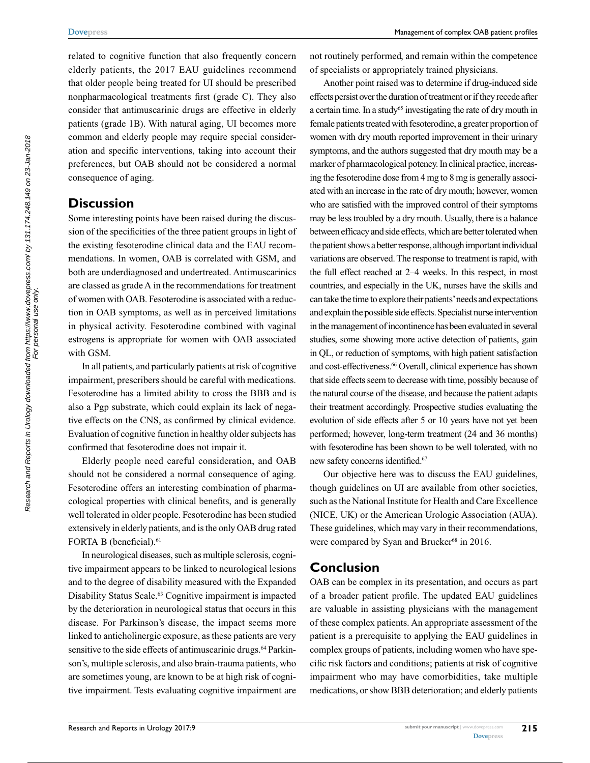related to cognitive function that also frequently concern elderly patients, the 2017 EAU guidelines recommend that older people being treated for UI should be prescribed nonpharmacological treatments first (grade C). They also consider that antimuscarinic drugs are effective in elderly patients (grade 1B). With natural aging, UI becomes more common and elderly people may require special consideration and specific interventions, taking into account their preferences, but OAB should not be considered a normal consequence of aging.

#### **Discussion**

Some interesting points have been raised during the discussion of the specificities of the three patient groups in light of the existing fesoterodine clinical data and the EAU recommendations. In women, OAB is correlated with GSM, and both are underdiagnosed and undertreated. Antimuscarinics are classed as grade A in the recommendations for treatment of women with OAB. Fesoterodine is associated with a reduction in OAB symptoms, as well as in perceived limitations in physical activity. Fesoterodine combined with vaginal estrogens is appropriate for women with OAB associated with GSM.

In all patients, and particularly patients at risk of cognitive impairment, prescribers should be careful with medications. Fesoterodine has a limited ability to cross the BBB and is also a Pgp substrate, which could explain its lack of negative effects on the CNS, as confirmed by clinical evidence. Evaluation of cognitive function in healthy older subjects has confirmed that fesoterodine does not impair it.

Elderly people need careful consideration, and OAB should not be considered a normal consequence of aging. Fesoterodine offers an interesting combination of pharmacological properties with clinical benefits, and is generally well tolerated in older people. Fesoterodine has been studied extensively in elderly patients, and is the only OAB drug rated FORTA B (beneficial).<sup>61</sup>

In neurological diseases, such as multiple sclerosis, cognitive impairment appears to be linked to neurological lesions and to the degree of disability measured with the Expanded Disability Status Scale.63 Cognitive impairment is impacted by the deterioration in neurological status that occurs in this disease. For Parkinson's disease, the impact seems more linked to anticholinergic exposure, as these patients are very sensitive to the side effects of antimuscarinic drugs.<sup>64</sup> Parkinson's, multiple sclerosis, and also brain-trauma patients, who are sometimes young, are known to be at high risk of cognitive impairment. Tests evaluating cognitive impairment are not routinely performed, and remain within the competence of specialists or appropriately trained physicians.

Another point raised was to determine if drug-induced side effects persist over the duration of treatment or if they recede after a certain time. In a study<sup>65</sup> investigating the rate of dry mouth in female patients treated with fesoterodine, a greater proportion of women with dry mouth reported improvement in their urinary symptoms, and the authors suggested that dry mouth may be a marker of pharmacological potency. In clinical practice, increasing the fesoterodine dose from 4 mg to 8 mg is generally associated with an increase in the rate of dry mouth; however, women who are satisfied with the improved control of their symptoms may be less troubled by a dry mouth. Usually, there is a balance between efficacy and side effects, which are better tolerated when the patient shows a better response, although important individual variations are observed. The response to treatment is rapid, with the full effect reached at 2–4 weeks. In this respect, in most countries, and especially in the UK, nurses have the skills and can take the time to explore their patients' needs and expectations and explain the possible side effects. Specialist nurse intervention in the management of incontinence has been evaluated in several studies, some showing more active detection of patients, gain in QL, or reduction of symptoms, with high patient satisfaction and cost-effectiveness.<sup>66</sup> Overall, clinical experience has shown that side effects seem to decrease with time, possibly because of the natural course of the disease, and because the patient adapts their treatment accordingly. Prospective studies evaluating the evolution of side effects after 5 or 10 years have not yet been performed; however, long-term treatment (24 and 36 months) with fesoterodine has been shown to be well tolerated, with no new safety concerns identified.67

Our objective here was to discuss the EAU guidelines, though guidelines on UI are available from other societies, such as the National Institute for Health and Care Excellence (NICE, UK) or the American Urologic Association (AUA). These guidelines, which may vary in their recommendations, were compared by Syan and Brucker<sup>68</sup> in 2016.

#### **Conclusion**

OAB can be complex in its presentation, and occurs as part of a broader patient profile. The updated EAU guidelines are valuable in assisting physicians with the management of these complex patients. An appropriate assessment of the patient is a prerequisite to applying the EAU guidelines in complex groups of patients, including women who have specific risk factors and conditions; patients at risk of cognitive impairment who may have comorbidities, take multiple medications, or show BBB deterioration; and elderly patients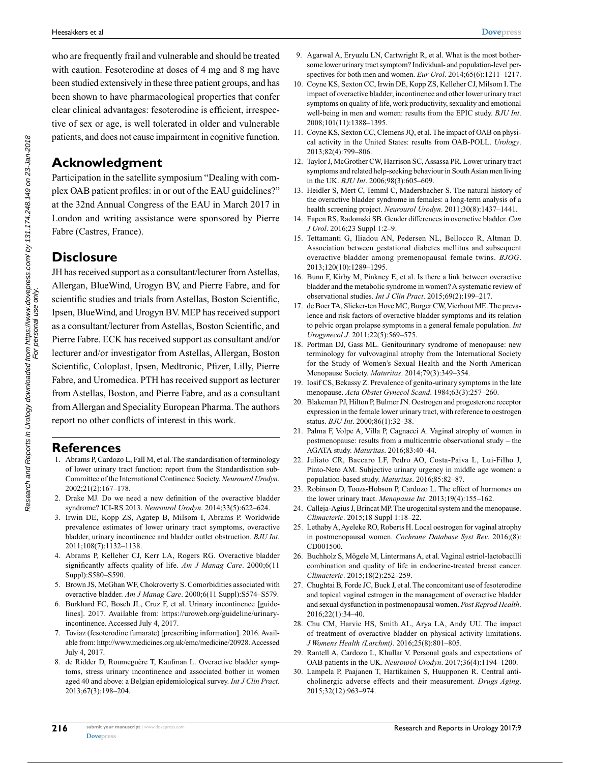who are frequently frail and vulnerable and should be treated with caution. Fesoterodine at doses of 4 mg and 8 mg have been studied extensively in these three patient groups, and has been shown to have pharmacological properties that confer clear clinical advantages: fesoterodine is efficient, irrespective of sex or age, is well tolerated in older and vulnerable patients, and does not cause impairment in cognitive function.

## **Acknowledgment**

Participation in the satellite symposium "Dealing with complex OAB patient profiles: in or out of the EAU guidelines?" at the 32nd Annual Congress of the EAU in March 2017 in London and writing assistance were sponsored by Pierre Fabre (Castres, France).

## **Disclosure**

JH has received support as a consultant/lecturer from Astellas, Allergan, BlueWind, Urogyn BV, and Pierre Fabre, and for scientific studies and trials from Astellas, Boston Scientific, Ipsen, BlueWind, and Urogyn BV. MEP has received support as a consultant/lecturer from Astellas, Boston Scientific, and Pierre Fabre. ECK has received support as consultant and/or lecturer and/or investigator from Astellas, Allergan, Boston Scientific, Coloplast, Ipsen, Medtronic, Pfizer, Lilly, Pierre Fabre, and Uromedica. PTH has received support as lecturer from Astellas, Boston, and Pierre Fabre, and as a consultant from Allergan and Speciality European Pharma. The authors report no other conflicts of interest in this work.

#### **References**

- 1. Abrams P, Cardozo L, Fall M, et al. The standardisation of terminology of lower urinary tract function: report from the Standardisation sub-Committee of the International Continence Society. *Neurourol Urodyn*. 2002;21(2):167–178.
- 2. Drake MJ. Do we need a new definition of the overactive bladder syndrome? ICI-RS 2013. *Neurourol Urodyn*. 2014;33(5):622–624.
- 3. Irwin DE, Kopp ZS, Agatep B, Milsom I, Abrams P. Worldwide prevalence estimates of lower urinary tract symptoms, overactive bladder, urinary incontinence and bladder outlet obstruction. *BJU Int*. 2011;108(7):1132–1138.
- 4. Abrams P, Kelleher CJ, Kerr LA, Rogers RG. Overactive bladder significantly affects quality of life. *Am J Manag Care*. 2000;6(11 Suppl):S580–S590.
- 5. Brown JS, McGhan WF, Chokroverty S. Comorbidities associated with overactive bladder. *Am J Manag Care*. 2000;6(11 Suppl):S574–S579.
- 6. Burkhard FC, Bosch JL, Cruz F, et al. Urinary incontinence [guidelines]. 2017. Available from: https://uroweb.org/guideline/urinaryincontinence. Accessed July 4, 2017.
- 7. Toviaz (fesoterodine fumarate) [prescribing information]. 2016. Available from: http://www.medicines.org.uk/emc/medicine/20928. Accessed July 4, 2017.
- 8. de Ridder D, Roumeguère T, Kaufman L. Overactive bladder symptoms, stress urinary incontinence and associated bother in women aged 40 and above: a Belgian epidemiological survey. *Int J Clin Pract*. 2013;67(3):198–204.
- 9. Agarwal A, Eryuzlu LN, Cartwright R, et al. What is the most bothersome lower urinary tract symptom? Individual- and population-level perspectives for both men and women. *Eur Urol*. 2014;65(6):1211–1217.
- 10. Coyne KS, Sexton CC, Irwin DE, Kopp ZS, Kelleher CJ, Milsom I. The impact of overactive bladder, incontinence and other lower urinary tract symptoms on quality of life, work productivity, sexuality and emotional well-being in men and women: results from the EPIC study. *BJU Int*. 2008;101(11):1388–1395.
- 11. Coyne KS, Sexton CC, Clemens JQ, et al. The impact of OAB on physical activity in the United States: results from OAB-POLL. *Urology*. 2013;82(4):799–806.
- 12. Taylor J, McGrother CW, Harrison SC, Assassa PR. Lower urinary tract symptoms and related help-seeking behaviour in South Asian men living in the UK. *BJU Int*. 2006;98(3):605–609.
- 13. Heidler S, Mert C, Temml C, Madersbacher S. The natural history of the overactive bladder syndrome in females: a long-term analysis of a health screening project. *Neurourol Urodyn*. 2011;30(8):1437–1441.
- 14. Eapen RS, Radomski SB. Gender differences in overactive bladder. *Can J Urol*. 2016;23 Suppl 1:2–9.
- 15. Tettamanti G, Iliadou AN, Pedersen NL, Bellocco R, Altman D. Association between gestational diabetes mellitus and subsequent overactive bladder among premenopausal female twins. *BJOG*. 2013;120(10):1289–1295.
- 16. Bunn F, Kirby M, Pinkney E, et al. Is there a link between overactive bladder and the metabolic syndrome in women? A systematic review of observational studies. *Int J Clin Pract*. 2015;69(2):199–217.
- 17. de Boer TA, Slieker-ten Hove MC, Burger CW, Vierhout ME. The prevalence and risk factors of overactive bladder symptoms and its relation to pelvic organ prolapse symptoms in a general female population. *Int Urogynecol J*. 2011;22(5):569–575.
- 18. Portman DJ, Gass ML. Genitourinary syndrome of menopause: new terminology for vulvovaginal atrophy from the International Society for the Study of Women's Sexual Health and the North American Menopause Society. *Maturitas*. 2014;79(3):349–354.
- 19. Iosif CS, Bekassy Z. Prevalence of genito-urinary symptoms in the late menopause. *Acta Obstet Gynecol Scand*. 1984;63(3):257–260.
- 20. Blakeman PJ, Hilton P, Bulmer JN. Oestrogen and progesterone receptor expression in the female lower urinary tract, with reference to oestrogen status. *BJU Int*. 2000;86(1):32–38.
- 21. Palma F, Volpe A, Villa P, Cagnacci A. Vaginal atrophy of women in postmenopause: results from a multicentric observational study – the AGATA study. *Maturitas*. 2016;83:40–44.
- 22. Juliato CR, Baccaro LF, Pedro AO, Costa-Paiva L, Lui-Filho J, Pinto-Neto AM. Subjective urinary urgency in middle age women: a population-based study. *Maturitas*. 2016;85:82–87.
- 23. Robinson D, Toozs-Hobson P, Cardozo L. The effect of hormones on the lower urinary tract. *Menopause Int*. 2013;19(4):155–162.
- 24. Calleja-Agius J, Brincat MP. The urogenital system and the menopause. *Climacteric*. 2015;18 Suppl 1:18–22.
- 25. Lethaby A, Ayeleke RO, Roberts H. Local oestrogen for vaginal atrophy in postmenopausal women. *Cochrane Database Syst Rev*. 2016;(8): CD001500.
- 26. Buchholz S, Mögele M, Lintermans A, et al. Vaginal estriol-lactobacilli combination and quality of life in endocrine-treated breast cancer. *Climacteric*. 2015;18(2):252–259.
- 27. Chughtai B, Forde JC, Buck J, et al. The concomitant use of fesoterodine and topical vaginal estrogen in the management of overactive bladder and sexual dysfunction in postmenopausal women. *Post Reprod Health*. 2016;22(1):34–40.
- 28. Chu CM, Harvie HS, Smith AL, Arya LA, Andy UU. The impact of treatment of overactive bladder on physical activity limitations. *J Womens Health (Larchmt)*. 2016;25(8):801–805.
- 29. Rantell A, Cardozo L, Khullar V. Personal goals and expectations of OAB patients in the UK. *Neurourol Urodyn*. 2017;36(4):1194–1200.
- 30. Lampela P, Paajanen T, Hartikainen S, Huupponen R. Central anticholinergic adverse effects and their measurement. *Drugs Aging*. 2015;32(12):963–974.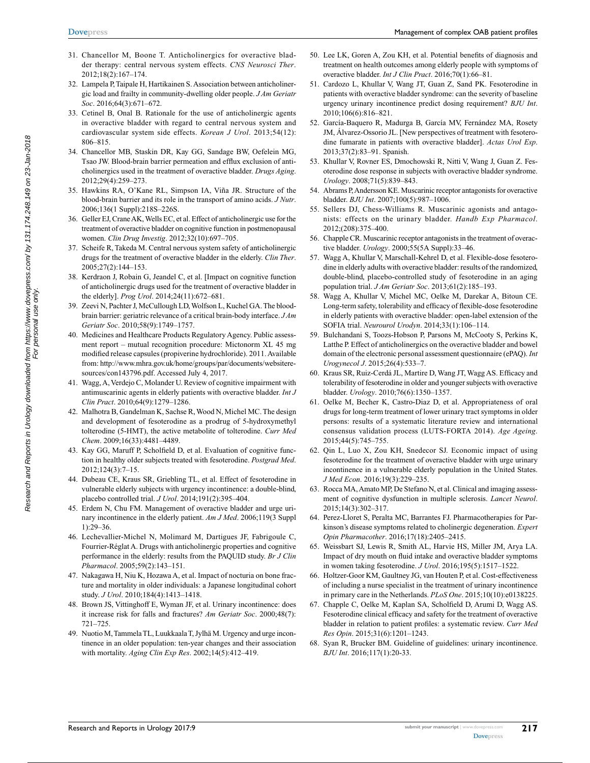- 31. Chancellor M, Boone T. Anticholinergics for overactive bladder therapy: central nervous system effects. *CNS Neurosci Ther*. 2012;18(2):167–174.
- 32. Lampela P, Taipale H, Hartikainen S. Association between anticholinergic load and frailty in community-dwelling older people. *J Am Geriatr Soc*. 2016;64(3):671–672.
- 33. Cetinel B, Onal B. Rationale for the use of anticholinergic agents in overactive bladder with regard to central nervous system and cardiovascular system side effects. *Korean J Urol*. 2013;54(12): 806–815.
- 34. Chancellor MB, Staskin DR, Kay GG, Sandage BW, Oefelein MG, Tsao JW. Blood-brain barrier permeation and efflux exclusion of anticholinergics used in the treatment of overactive bladder. *Drugs Aging*. 2012;29(4):259–273.
- 35. Hawkins RA, O'Kane RL, Simpson IA, Viña JR. Structure of the blood-brain barrier and its role in the transport of amino acids. *J Nutr*. 2006;136(1 Suppl):218S–226S.
- 36. Geller EJ, Crane AK, Wells EC, et al. Effect of anticholinergic use for the treatment of overactive bladder on cognitive function in postmenopausal women. *Clin Drug Investig*. 2012;32(10):697–705.
- 37. Scheife R, Takeda M. Central nervous system safety of anticholinergic drugs for the treatment of overactive bladder in the elderly. *Clin Ther*. 2005;27(2):144–153.
- 38. Kerdraon J, Robain G, Jeandel C, et al. [Impact on cognitive function of anticholinergic drugs used for the treatment of overactive bladder in the elderly]. *Prog Urol*. 2014;24(11):672–681.
- 39. Zeevi N, Pachter J, McCullough LD, Wolfson L, Kuchel GA. The bloodbrain barrier: geriatric relevance of a critical brain-body interface. *J Am Geriatr Soc*. 2010;58(9):1749–1757.
- 40. Medicines and Healthcare Products Regulatory Agency. Public assessment report – mutual recognition procedure: Mictonorm XL 45 mg modified release capsules (propiverine hydrochloride). 2011. Available from: http://www.mhra.gov.uk/home/groups/par/documents/websiteresources/con143796.pdf. Accessed July 4, 2017.
- 41. Wagg, A, Verdejo C, Molander U. Review of cognitive impairment with antimuscarinic agents in elderly patients with overactive bladder. *Int J Clin Pract*. 2010;64(9):1279–1286.
- 42. Malhotra B, Gandelman K, Sachse R, Wood N, Michel MC. The design and development of fesoterodine as a prodrug of 5-hydroxymethyl tolterodine (5-HMT), the active metabolite of tolterodine. *Curr Med Chem*. 2009;16(33):4481–4489.
- 43. Kay GG, Maruff P, Scholfield D, et al. Evaluation of cognitive function in healthy older subjects treated with fesoterodine. *Postgrad Med*. 2012;124(3):7–15.
- 44. Dubeau CE, Kraus SR, Griebling TL, et al. Effect of fesoterodine in vulnerable elderly subjects with urgency incontinence: a double-blind, placebo controlled trial. *J Urol*. 2014;191(2):395–404.
- 45. Erdem N, Chu FM. Management of overactive bladder and urge urinary incontinence in the elderly patient. *Am J Med*. 2006;119(3 Suppl 1):29–36.
- 46. Lechevallier-Michel N, Molimard M, Dartigues JF, Fabrigoule C, Fourrier-Réglat A. Drugs with anticholinergic properties and cognitive performance in the elderly: results from the PAQUID study. *Br J Clin Pharmacol*. 2005;59(2):143–151.
- 47. Nakagawa H, Niu K, Hozawa A, et al. Impact of nocturia on bone fracture and mortality in older individuals: a Japanese longitudinal cohort study. *J Urol*. 2010;184(4):1413–1418.
- 48. Brown JS, Vittinghoff E, Wyman JF, et al. Urinary incontinence: does it increase risk for falls and fractures? *Am Geriatr Soc*. 2000;48(7): 721–725.
- 49. Nuotio M, Tammela TL, Luukkaala T, Jylhä M. Urgency and urge incontinence in an older population: ten-year changes and their association with mortality. *Aging Clin Exp Res*. 2002;14(5):412–419.
- 50. Lee LK, Goren A, Zou KH, et al. Potential benefits of diagnosis and treatment on health outcomes among elderly people with symptoms of overactive bladder. *Int J Clin Pract*. 2016;70(1):66–81.
- 51. Cardozo L, Khullar V, Wang JT, Guan Z, Sand PK. Fesoterodine in patients with overactive bladder syndrome: can the severity of baseline urgency urinary incontinence predict dosing requirement? *BJU Int*. 2010;106(6):816–821.
- 52. García-Baquero R, Madurga B, García MV, Fernández MA, Rosety JM, Álvarez-Ossorio JL. [New perspectives of treatment with fesoterodine fumarate in patients with overactive bladder]. *Actas Urol Esp*. 2013;37(2):83–91. Spanish.
- 53. Khullar V, Rovner ES, Dmochowski R, Nitti V, Wang J, Guan Z. Fesoterodine dose response in subjects with overactive bladder syndrome. *Urology*. 2008;71(5):839–843.
- 54. Abrams P, Andersson KE. Muscarinic receptor antagonists for overactive bladder. *BJU Int*. 2007;100(5):987–1006.
- 55. Sellers DJ, Chess-Williams R. Muscarinic agonists and antagonists: effects on the urinary bladder. *Handb Exp Pharmacol*. 2012;(208):375–400.
- 56. Chapple CR. Muscarinic receptor antagonists in the treatment of overactive bladder. *Urology*. 2000;55(5A Suppl):33–46.
- 57. Wagg A, Khullar V, Marschall-Kehrel D, et al. Flexible-dose fesoterodine in elderly adults with overactive bladder: results of the randomized, double-blind, placebo-controlled study of fesoterodine in an aging population trial. *J Am Geriatr Soc*. 2013;61(2):185–193.
- 58. Wagg A, Khullar V, Michel MC, Oelke M, Darekar A, Bitoun CE. Long-term safety, tolerability and efficacy of flexible-dose fesoterodine in elderly patients with overactive bladder: open-label extension of the SOFIA trial. *Neurourol Urodyn*. 2014;33(1):106–114.
- 59. Bulchandani S, Toozs-Hobson P, Parsons M, McCooty S, Perkins K, Latthe P. Effect of anticholinergics on the overactive bladder and bowel domain of the electronic personal assessment questionnaire (ePAQ). *Int Urogynecol J*. 2015;26(4):533–7.
- 60. Kraus SR, Ruiz-Cerdá JL, Martire D, Wang JT, Wagg AS. Efficacy and tolerability of fesoterodine in older and younger subjects with overactive bladder. *Urology*. 2010;76(6):1350–1357.
- 61. Oelke M, Becher K, Castro-Diaz D, et al. Appropriateness of oral drugs for long-term treatment of lower urinary tract symptoms in older persons: results of a systematic literature review and international consensus validation process (LUTS-FORTA 2014). *Age Ageing*. 2015;44(5):745–755.
- 62. Qin L, Luo X, Zou KH, Snedecor SJ. Economic impact of using fesoterodine for the treatment of overactive bladder with urge urinary incontinence in a vulnerable elderly population in the United States. *J Med Econ*. 2016;19(3):229–235.
- 63. Rocca MA, Amato MP, De Stefano N, et al. Clinical and imaging assessment of cognitive dysfunction in multiple sclerosis. *Lancet Neurol*. 2015;14(3):302–317.
- 64. Perez-Lloret S, Peralta MC, Barrantes FJ. Pharmacotherapies for Parkinson's disease symptoms related to cholinergic degeneration. *Expert Opin Pharmacother*. 2016;17(18):2405–2415.
- 65. Weissbart SJ, Lewis R, Smith AL, Harvie HS, Miller JM, Arya LA. Impact of dry mouth on fluid intake and overactive bladder symptoms in women taking fesoterodine. *J Urol*. 2016;195(5):1517–1522.
- 66. Holtzer-Goor KM, Gaultney JG, van Houten P, et al. Cost-effectiveness of including a nurse specialist in the treatment of urinary incontinence in primary care in the Netherlands. *PLoS One*. 2015;10(10):e0138225.
- 67. Chapple C, Oelke M, Kaplan SA, Scholfield D, Arumi D, Wagg AS. Fesoterodine clinical efficacy and safety for the treatment of overactive bladder in relation to patient profiles: a systematic review. *Curr Med Res Opin*. 2015;31(6):1201–1243.
- 68. Syan R, Brucker BM. Guideline of guidelines: urinary incontinence. *BJU Int*. 2016;117(1):20-33.